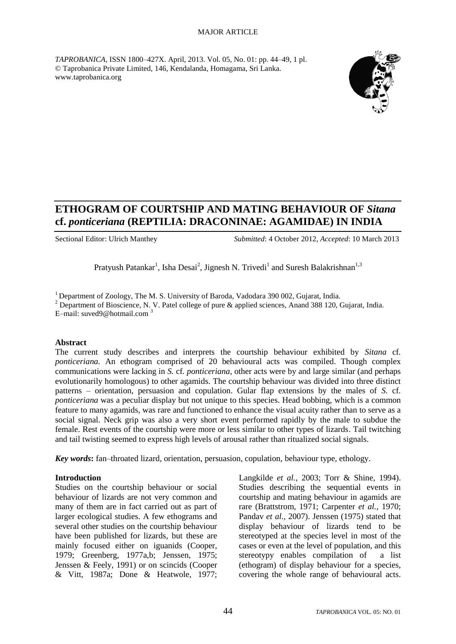#### MAJOR ARTICLE

*TAPROBANICA*, ISSN 1800–427X. April, 2013. Vol. 05, No. 01: pp. 44–49, 1 pl. © Taprobanica Private Limited, 146, Kendalanda, Homagama, Sri Lanka. www.taprobanica.org



# **ETHOGRAM OF COURTSHIP AND MATING BEHAVIOUR OF** *Sitana*  **cf.** *ponticeriana* **(REPTILIA: DRACONINAE: AGAMIDAE) IN INDIA**

Sectional Editor: Ulrich Manthey *Submitted*: 4 October 2012, *Accepted*: 10 March 2013

Pratyush Patankar<sup>1</sup>, Isha Desai<sup>2</sup>, Jignesh N. Trivedi<sup>1</sup> and Suresh Balakrishnan<sup>1,3</sup>

<sup>1</sup> Department of Zoology, The M. S. University of Baroda, Vadodara 390 002, Gujarat, India. <sup>2</sup> Department of Bioscience, N. V. Patel college of pure & applied sciences, Anand 388 120, Gujarat, India. E-mail: suved9@hotmail.com<sup>3</sup>

#### **Abstract**

The current study describes and interprets the courtship behaviour exhibited by *Sitana* cf*. ponticeriana.* An ethogram comprised of 20 behavioural acts was compiled. Though complex communications were lacking in *S.* cf*. ponticeriana,* other acts were by and large similar (and perhaps evolutionarily homologous) to other agamids. The courtship behaviour was divided into three distinct patterns – orientation, persuasion and copulation. Gular flap extensions by the males of *S.* cf*. ponticeriana* was a peculiar display but not unique to this species. Head bobbing, which is a common feature to many agamids, was rare and functioned to enhance the visual acuity rather than to serve as a social signal. Neck grip was also a very short event performed rapidly by the male to subdue the female. Rest events of the courtship were more or less similar to other types of lizards. Tail twitching and tail twisting seemed to express high levels of arousal rather than ritualized social signals.

*Key words***:** fan–throated lizard, orientation, persuasion, copulation, behaviour type, ethology.

#### **Introduction**

Studies on the courtship behaviour or social behaviour of lizards are not very common and many of them are in fact carried out as part of larger ecological studies. A few ethograms and several other studies on the courtship behaviour have been published for lizards, but these are mainly focused either on iguanids (Cooper, 1979; Greenberg, 1977a,b; Jenssen, 1975; Jenssen & Feely, 1991) or on scincids (Cooper & Vitt, 1987a; Done & Heatwole, 1977; Langkilde *et al.,* 2003; Torr & Shine, 1994). Studies describing the sequential events in courtship and mating behaviour in agamids are rare (Brattstrom, 1971; Carpenter *et al.,* 1970; Pandav *et al.,* 2007). Jenssen (1975) stated that display behaviour of lizards tend to be stereotyped at the species level in most of the cases or even at the level of population, and this stereotypy enables compilation of a list (ethogram) of display behaviour for a species, covering the whole range of behavioural acts.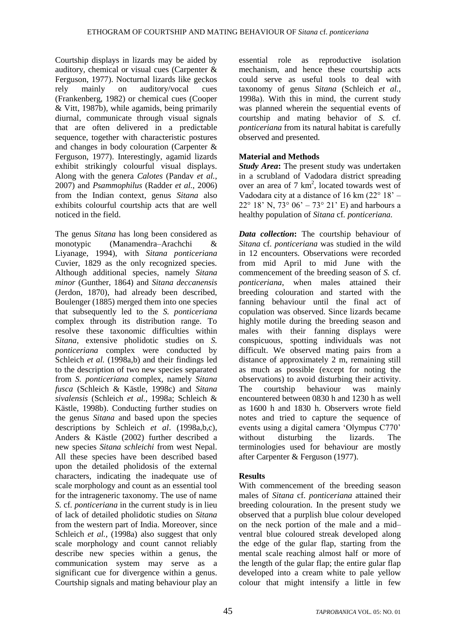Courtship displays in lizards may be aided by auditory, chemical or visual cues (Carpenter & Ferguson, 1977). Nocturnal lizards like geckos rely mainly on auditory/vocal cues (Frankenberg, 1982) or chemical cues (Cooper & Vitt, 1987b), while agamids, being primarily diurnal, communicate through visual signals that are often delivered in a predictable sequence, together with characteristic postures and changes in body colouration (Carpenter & Ferguson, 1977). Interestingly, agamid lizards exhibit strikingly colourful visual displays. Along with the genera *Calotes* (Pandav *et al.*, 2007) and *Psammophilus* (Radder *et al.*, 2006) from the Indian context, genus *Sitana* also exhibits colourful courtship acts that are well noticed in the field.

The genus *Sitana* has long been considered as monotypic (Manamendra–Arachchi & Liyanage, 1994), with *Sitana ponticeriana* Cuvier, 1829 as the only recognized species. Although additional species, namely *Sitana minor* (Gunther, 1864) and *Sitana deccanensis* (Jerdon, 1870), had already been described, Boulenger (1885) merged them into one species that subsequently led to the *S. ponticeriana* complex through its distribution range. To resolve these taxonomic difficulties within *Sitana,* extensive pholidotic studies on *S. ponticeriana* complex were conducted by Schleich *et al.* (1998a,b) and their findings led to the description of two new species separated from *S. ponticeriana* complex*,* namely *Sitana fusca* (Schleich & Kästle, 1998c) and *Sitana sivalensis* (Schleich *et al.*, 1998a; Schleich & Kästle, 1998b). Conducting further studies on the genus *Sitana* and based upon the species descriptions by Schleich *et al*. (1998a,b,c), Anders & Kästle (2002) further described a new species *Sitana schleichi* from west Nepal. All these species have been described based upon the detailed pholidosis of the external characters, indicating the inadequate use of scale morphology and count as an essential tool for the intrageneric taxonomy. The use of name *S.* cf*. ponticeriana* in the current study is in lieu of lack of detailed pholidotic studies on *Sitana* from the western part of India. Moreover, since Schleich *et al.*, (1998a) also suggest that only scale morphology and count cannot reliably describe new species within a genus, the communication system may serve as a significant cue for divergence within a genus. Courtship signals and mating behaviour play an

essential role as reproductive isolation mechanism, and hence these courtship acts could serve as useful tools to deal with taxonomy of genus *Sitana* (Schleich *et al.*, 1998a). With this in mind, the current study was planned wherein the sequential events of courtship and mating behavior of *S.* cf*. ponticeriana* from its natural habitat is carefully observed and presented*.*

### **Material and Methods**

*Study Area***:** The present study was undertaken in a scrubland of Vadodara district spreading over an area of 7 km<sup>2</sup>, located towards west of Vadodara city at a distance of 16 km  $(22^{\circ} 18^{\circ} -$ 22° 18' N, 73° 06' – 73° 21' E) and harbours a healthy population of *Sitana* cf*. ponticeriana.*

*Data collection***:** The courtship behaviour of *Sitana* cf*. ponticeriana* was studied in the wild in 12 encounters. Observations were recorded from mid April to mid June with the commencement of the breeding season of *S.* cf*. ponticeriana*, when males attained their breeding colouration and started with the fanning behaviour until the final act of copulation was observed. Since lizards became highly motile during the breeding season and males with their fanning displays were conspicuous, spotting individuals was not difficult. We observed mating pairs from a distance of approximately 2 m, remaining still as much as possible (except for noting the observations) to avoid disturbing their activity. The courtship behaviour was mainly encountered between 0830 h and 1230 h as well as 1600 h and 1830 h. Observers wrote field notes and tried to capture the sequence of events using a digital camera 'Olympus C770' without disturbing the lizards. The terminologies used for behaviour are mostly after Carpenter & Ferguson (1977).

## **Results**

With commencement of the breeding season males of *Sitana* cf*. ponticeriana* attained their breeding colouration. In the present study we observed that a purplish blue colour developed on the neck portion of the male and a mid– ventral blue coloured streak developed along the edge of the gular flap, starting from the mental scale reaching almost half or more of the length of the gular flap; the entire gular flap developed into a cream white to pale yellow colour that might intensify a little in few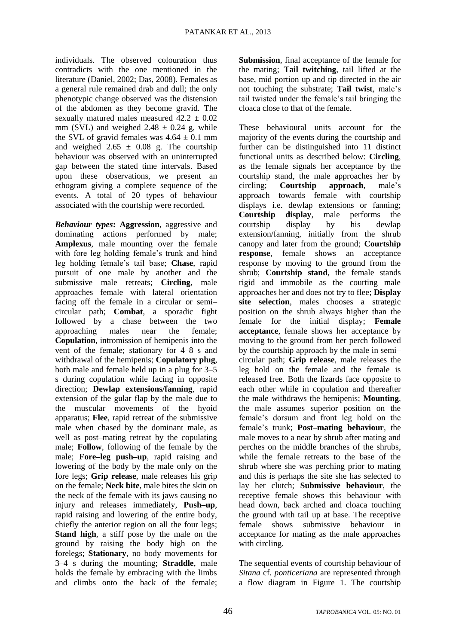individuals. The observed colouration thus contradicts with the one mentioned in the literature (Daniel, 2002; Das, 2008). Females as a general rule remained drab and dull; the only phenotypic change observed was the distension of the abdomen as they become gravid. The sexually matured males measured  $42.2 \pm 0.02$ mm (SVL) and weighed  $2.48 \pm 0.24$  g, while the SVL of gravid females was  $4.64 \pm 0.1$  mm and weighed  $2.65 \pm 0.08$  g. The courtship behaviour was observed with an uninterrupted gap between the stated time intervals. Based upon these observations, we present an ethogram giving a complete sequence of the events. A total of 20 types of behaviour associated with the courtship were recorded.

*Behaviour types***: Aggression**, aggressive and dominating actions performed by male; **Amplexus**, male mounting over the female with fore leg holding female's trunk and hind leg holding female's tail base; **Chase**, rapid pursuit of one male by another and the submissive male retreats; **Circling**, male approaches female with lateral orientation facing off the female in a circular or semi– circular path; **Combat**, a sporadic fight followed by a chase between the two approaching males near the female; **Copulation**, intromission of hemipenis into the vent of the female; stationary for 4–8 s and withdrawal of the hemipenis; **Copulatory plug**, both male and female held up in a plug for 3–5 s during copulation while facing in opposite direction; **Dewlap extensions/fanning**, rapid extension of the gular flap by the male due to the muscular movements of the hyoid apparatus; **Flee**, rapid retreat of the submissive male when chased by the dominant male, as well as post–mating retreat by the copulating male; **Follow**, following of the female by the male; **Fore–leg push–up**, rapid raising and lowering of the body by the male only on the fore legs; **Grip release**, male releases his grip on the female; **Neck bite**, male bites the skin on the neck of the female with its jaws causing no injury and releases immediately, **Push–up**, rapid raising and lowering of the entire body, chiefly the anterior region on all the four legs; **Stand high**, a stiff pose by the male on the ground by raising the body high on the forelegs; **Stationary**, no body movements for 3–4 s during the mounting; **Straddle**, male holds the female by embracing with the limbs and climbs onto the back of the female;

**Submission**, final acceptance of the female for the mating; **Tail twitching**, tail lifted at the base, mid portion up and tip directed in the air not touching the substrate; **Tail twist**, male's tail twisted under the female's tail bringing the cloaca close to that of the female.

These behavioural units account for the majority of the events during the courtship and further can be distinguished into 11 distinct functional units as described below: **Circling**, as the female signals her acceptance by the courtship stand, the male approaches her by circling; **Courtship approach**, male's approach towards female with courtship displays i.e. dewlap extensions or fanning; **Courtship display**, male performs the courtship display by his dewlap extension/fanning, initially from the shrub canopy and later from the ground; **Courtship response**, female shows an acceptance response by moving to the ground from the shrub; **Courtship stand**, the female stands rigid and immobile as the courting male approaches her and does not try to flee; **Display site selection**, males chooses a strategic position on the shrub always higher than the female for the initial display; **Female acceptance**, female shows her acceptance by moving to the ground from her perch followed by the courtship approach by the male in semi– circular path; **Grip release**, male releases the leg hold on the female and the female is released free. Both the lizards face opposite to each other while in copulation and thereafter the male withdraws the hemipenis; **Mounting**, the male assumes superior position on the female's dorsum and front leg hold on the female's trunk; **Post–mating behaviour**, the male moves to a near by shrub after mating and perches on the middle branches of the shrubs, while the female retreats to the base of the shrub where she was perching prior to mating and this is perhaps the site she has selected to lay her clutch; **Submissive behaviour**, the receptive female shows this behaviour with head down, back arched and cloaca touching the ground with tail up at base. The receptive female shows submissive behaviour in acceptance for mating as the male approaches with circling.

The sequential events of courtship behaviour of *Sitana* cf*. ponticeriana* are represented through a flow diagram in Figure 1. The courtship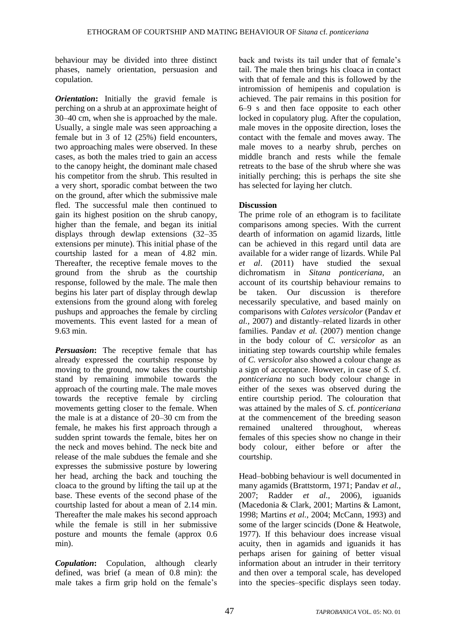behaviour may be divided into three distinct phases, namely orientation, persuasion and copulation.

*Orientation***:** Initially the gravid female is perching on a shrub at an approximate height of 30–40 cm, when she is approached by the male. Usually, a single male was seen approaching a female but in 3 of 12 (25%) field encounters, two approaching males were observed. In these cases, as both the males tried to gain an access to the canopy height, the dominant male chased his competitor from the shrub. This resulted in a very short, sporadic combat between the two on the ground, after which the submissive male fled. The successful male then continued to gain its highest position on the shrub canopy, higher than the female, and began its initial displays through dewlap extensions (32–35 extensions per minute). This initial phase of the courtship lasted for a mean of 4.82 min. Thereafter, the receptive female moves to the ground from the shrub as the courtship response, followed by the male. The male then begins his later part of display through dewlap extensions from the ground along with foreleg pushups and approaches the female by circling movements. This event lasted for a mean of 9.63 min.

*Persuasion*: The receptive female that has already expressed the courtship response by moving to the ground, now takes the courtship stand by remaining immobile towards the approach of the courting male. The male moves towards the receptive female by circling movements getting closer to the female. When the male is at a distance of 20–30 cm from the female, he makes his first approach through a sudden sprint towards the female, bites her on the neck and moves behind. The neck bite and release of the male subdues the female and she expresses the submissive posture by lowering her head, arching the back and touching the cloaca to the ground by lifting the tail up at the base. These events of the second phase of the courtship lasted for about a mean of 2.14 min. Thereafter the male makes his second approach while the female is still in her submissive posture and mounts the female (approx 0.6 min).

*Copulation***:** Copulation, although clearly defined, was brief (a mean of 0.8 min): the male takes a firm grip hold on the female's back and twists its tail under that of female's tail. The male then brings his cloaca in contact with that of female and this is followed by the intromission of hemipenis and copulation is achieved. The pair remains in this position for 6–9 s and then face opposite to each other locked in copulatory plug. After the copulation, male moves in the opposite direction, loses the contact with the female and moves away. The male moves to a nearby shrub, perches on middle branch and rests while the female retreats to the base of the shrub where she was initially perching; this is perhaps the site she has selected for laying her clutch.

#### **Discussion**

The prime role of an ethogram is to facilitate comparisons among species. With the current dearth of information on agamid lizards, little can be achieved in this regard until data are available for a wider range of lizards. While Pal *et al*. (2011) have studied the sexual dichromatism in *Sitana ponticeriana*, an account of its courtship behaviour remains to be taken. Our discussion is therefore necessarily speculative, and based mainly on comparisons with *Calotes versicolor* (Pandav *et al.,* 2007) and distantly–related lizards in other families. Pandav *et al.* (2007) mention change in the body colour of *C. versicolor* as an initiating step towards courtship while females of *C. versicolor* also showed a colour change as a sign of acceptance. However, in case of *S.* cf*. ponticeriana* no such body colour change in either of the sexes was observed during the entire courtship period. The colouration that was attained by the males of *S.* cf*. ponticeriana* at the commencement of the breeding season remained unaltered throughout, whereas females of this species show no change in their body colour, either before or after the courtship.

Head–bobbing behaviour is well documented in many agamids (Brattstorm, 1971; Pandav *et al.*, 2007; Radder *et al.,* 2006), iguanids (Macedonia & Clark, 2001; Martins & Lamont, 1998; Martins *et al.,* 2004; McCann, 1993) and some of the larger scincids (Done & Heatwole, 1977). If this behaviour does increase visual acuity, then in agamids and iguanids it has perhaps arisen for gaining of better visual information about an intruder in their territory and then over a temporal scale, has developed into the species–specific displays seen today.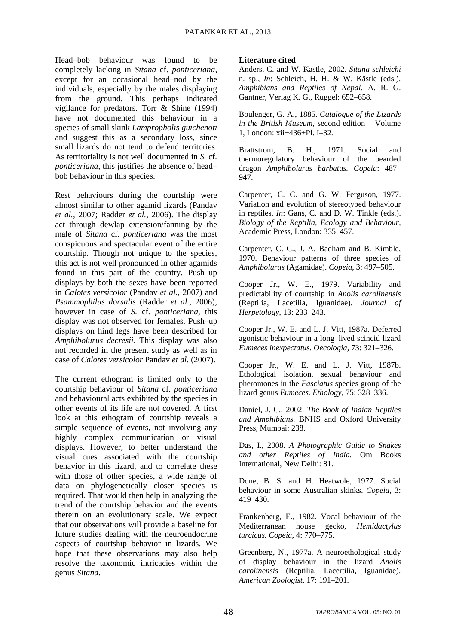Head–bob behaviour was found to be completely lacking in *Sitana* cf*. ponticeriana,*  except for an occasional head–nod by the individuals, especially by the males displaying from the ground. This perhaps indicated vigilance for predators. Torr & Shine (1994) have not documented this behaviour in a species of small skink *Lampropholis guichenoti*  and suggest this as a secondary loss, since small lizards do not tend to defend territories. As territoriality is not well documented in *S.* cf*. ponticeriana*, this justifies the absence of head– bob behaviour in this species.

Rest behaviours during the courtship were almost similar to other agamid lizards (Pandav *et al.*, 2007; Radder *et al.,* 2006). The display act through dewlap extension/fanning by the male of *Sitana* cf*. ponticeriana* was the most conspicuous and spectacular event of the entire courtship. Though not unique to the species, this act is not well pronounced in other agamids found in this part of the country. Push–up displays by both the sexes have been reported in *Calotes versicolor* (Pandav *et al.,* 2007) and *Psammophilus dorsalis* (Radder *et al.,* 2006); however in case of *S.* cf*. ponticeriana*, this display was not observed for females. Push–up displays on hind legs have been described for *Amphibolurus decresii*. This display was also not recorded in the present study as well as in case of *Calotes versicolor* Pandav *et al.* (2007).

The current ethogram is limited only to the courtship behaviour of *Sitana* cf*. ponticeriana* and behavioural acts exhibited by the species in other events of its life are not covered. A first look at this ethogram of courtship reveals a simple sequence of events, not involving any highly complex communication or visual displays. However, to better understand the visual cues associated with the courtship behavior in this lizard, and to correlate these with those of other species, a wide range of data on phylogenetically closer species is required. That would then help in analyzing the trend of the courtship behavior and the events therein on an evolutionary scale. We expect that our observations will provide a baseline for future studies dealing with the neuroendocrine aspects of courtship behavior in lizards. We hope that these observations may also help resolve the taxonomic intricacies within the genus *Sitana*.

#### **Literature cited**

Anders, C. and W. Kästle, 2002. *Sitana schleichi*  n. sp., *In*: Schleich, H. H. & W. Kästle (eds.). *Amphibians and Reptiles of Nepal*. A. R. G. Gantner, Verlag K. G., Ruggel: 652–658.

Boulenger, G. A., 1885. *Catalogue of the Lizards in the British Museum*, second edition – Volume 1, London: xii+436+Pl. I–32.

Brattstrom, B. H., 1971. Social and thermoregulatory behaviour of the bearded dragon *Amphibolurus barbatus. Copeia*: 487– 947.

Carpenter, C. C. and G. W. Ferguson, 1977. Variation and evolution of stereotyped behaviour in reptiles. *In*: Gans, C. and D. W. Tinkle (eds.). *Biology of the Reptilia, Ecology and Behaviour*, Academic Press, London: 335–457.

Carpenter, C. C., J. A. Badham and B. Kimble, 1970. Behaviour patterns of three species of *Amphibolurus* (Agamidae). *Copeia*, 3: 497–505.

Cooper Jr., W. E., 1979. Variability and predictability of courtship in *Anolis carolinensis* (Reptilia, Lacetilia, Iguanidae). *Journal of Herpetology,* 13: 233–243.

Cooper Jr., W. E. and L. J. Vitt, 1987a. Deferred agonistic behaviour in a long–lived scincid lizard *Eumeces inexpectatus. Oecologia,* 73: 321–326.

Cooper Jr., W. E. and L. J. Vitt, 1987b. Ethological isolation, sexual behaviour and pheromones in the *Fasciatus* species group of the lizard genus *Eumeces. Ethology,* 75: 328–336.

Daniel, J. C., 2002. *The Book of Indian Reptiles and Amphibians.* BNHS and Oxford University Press, Mumbai: 238.

Das, I., 2008. *A Photographic Guide to Snakes and other Reptiles of India.* Om Books International, New Delhi: 81.

Done, B. S. and H. Heatwole, 1977. Social behaviour in some Australian skinks. *Copeia*, 3: 419–430.

Frankenberg, E., 1982. Vocal behaviour of the Mediterranean house gecko, *Hemidactylus turcicus. Copeia*, 4: 770–775.

Greenberg, N., 1977a. A neuroethological study of display behaviour in the lizard *Anolis carolinensis* (Reptilia, Lacertilia, Iguanidae). *American Zoologist*, 17: 191–201.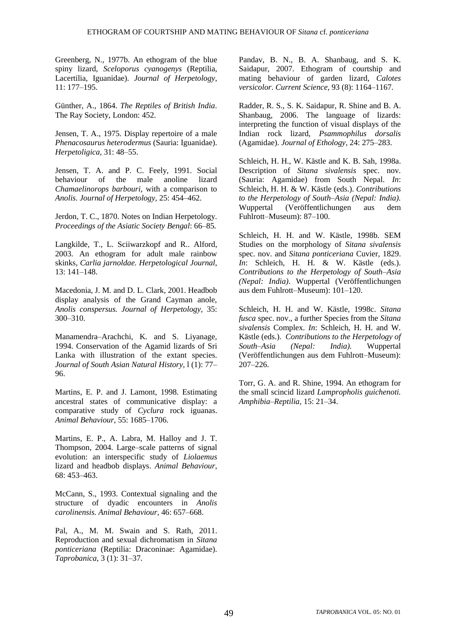Greenberg, N., 1977b. An ethogram of the blue spiny lizard, *Sceloporus cyanogenys* (Reptilia, Lacertilia, Iguanidae). *Journal of Herpetology,* 11: 177–195.

Günther, A., 1864. *The Reptiles of British India*. The Ray Society, London: 452.

Jensen, T. A., 1975. Display repertoire of a male *Phenacosaurus heterodermus* (Sauria: Iguanidae). *Herpetoligica,* 31: 48–55.

Jensen, T. A. and P. C. Feely, 1991. Social behaviour of the male anoline lizard *Chamaelinorops barbouri,* with a comparison to *Anolis. Journal of Herpetology,* 25: 454–462.

Jerdon, T. C., 1870. Notes on Indian Herpetology. *Proceedings of the Asiatic Society Bengal*: 66–85.

Langkilde, T., L. Sciiwarzkopf and R.. Alford, 2003. An ethogram for adult male rainbow skinks, *Carlia jarnoldae. Herpetological Journal*, 13: 141–148.

Macedonia, J. M. and D. L. Clark, 2001. Headbob display analysis of the Grand Cayman anole, *Anolis conspersus. Journal of Herpetology,* 35: 300–310.

Manamendra–Arachchi, K. and S. Liyanage, 1994. Conservation of the Agamid lizards of Sri Lanka with illustration of the extant species. *Journal of South Asian Natural History,* l (1): 77– 96.

Martins, E. P. and J. Lamont, 1998. Estimating ancestral states of communicative display: a comparative study of *Cyclura* rock iguanas. *Animal Behaviour,* 55: 1685–1706.

Martins, E. P., A. Labra, M. Halloy and J. T. Thompson, 2004. Large–scale patterns of signal evolution: an interspecific study of *Liolaemus*  lizard and headbob displays. *Animal Behaviour,* 68: 453–463.

McCann, S., 1993. Contextual signaling and the structure of dyadic encounters in *Anolis carolinensis. Animal Behaviour,* 46: 657–668.

Pal, A., M. M. Swain and S. Rath, 2011. Reproduction and sexual dichromatism in *Sitana ponticeriana* (Reptilia: Draconinae: Agamidae). *Taprobanica*, 3 (1): 31–37.

Pandav, B. N., B. A. Shanbaug, and S. K. Saidapur, 2007. Ethogram of courtship and mating behaviour of garden lizard, *Calotes versicolor*. *Current Science,* 93 (8): 1164–1167.

Radder, R. S., S. K. Saidapur, R. Shine and B. A. Shanbaug, 2006. The language of lizards: interpreting the function of visual displays of the Indian rock lizard, *Psammophilus dorsalis* (Agamidae). *Journal of Ethology,* 24: 275–283.

Schleich, H. H., W. Kästle and K. B. Sah, 1998a. Description of *Sitana sivalensis* spec. nov. (Sauria: Agamidae) from South Nepal. *In*: Schleich, H. H. & W. Kästle (eds.). *Contributions to the Herpetology of South–Asia (Nepal: India).* Wuppertal (Veröffentlichungen aus dem Fuhlrott–Museum): 87–100.

Schleich, H. H. and W. Kästle, 1998b. SEM Studies on the morphology of *Sitana sivalensis* spec. nov. and *Sitana ponticeriana* Cuvier, 1829. *In*: Schleich, H. H. & W. Kästle (eds.). *Contributions to the Herpetology of South–Asia (Nepal: India)*. Wuppertal (Veröffentlichungen aus dem Fuhlrott–Museum): 101–120.

Schleich, H. H. and W. Kästle, 1998c. *Sitana fusca* spec. nov., a further Species from the *Sitana sivalensis* Complex. *In*: Schleich, H. H. and W. Kästle (eds.). *Contributions to the Herpetology of South–Asia (Nepal: India).* Wuppertal (Veröffentlichungen aus dem Fuhlrott–Museum): 207–226.

Torr, G. A. and R. Shine, 1994. An ethogram for the small scincid lizard *Lampropholis guichenoti. Amphibia–Reptilia,* 15: 21–34.